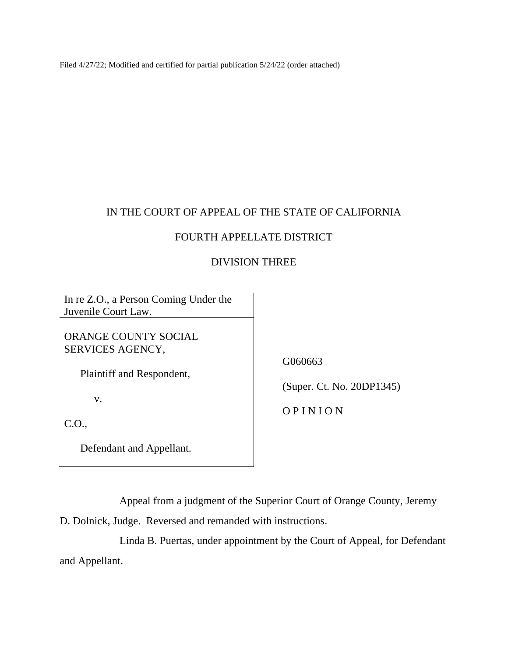Filed 4/27/22; Modified and certified for partial publication 5/24/22 (order attached)

## IN THE COURT OF APPEAL OF THE STATE OF CALIFORNIA

## FOURTH APPELLATE DISTRICT

## DIVISION THREE

In re Z.O., a Person Coming Under the Juvenile Court Law.

ORANGE COUNTY SOCIAL SERVICES AGENCY,

Plaintiff and Respondent,

v.

C.O.,

Defendant and Appellant.

G060663

(Super. Ct. No. 20DP1345)

O P I N I O N

Appeal from a judgment of the Superior Court of Orange County, Jeremy

D. Dolnick, Judge. Reversed and remanded with instructions.

Linda B. Puertas, under appointment by the Court of Appeal, for Defendant and Appellant.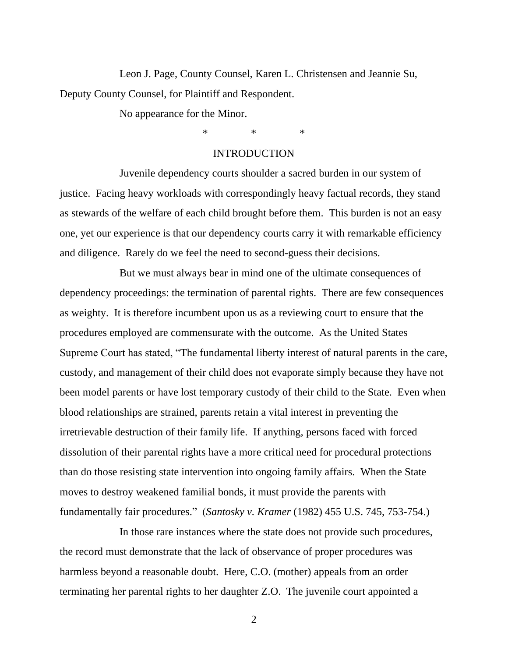Leon J. Page, County Counsel, Karen L. Christensen and Jeannie Su, Deputy County Counsel, for Plaintiff and Respondent.

No appearance for the Minor.

\* \* \*

### **INTRODUCTION**

Juvenile dependency courts shoulder a sacred burden in our system of justice. Facing heavy workloads with correspondingly heavy factual records, they stand as stewards of the welfare of each child brought before them. This burden is not an easy one, yet our experience is that our dependency courts carry it with remarkable efficiency and diligence. Rarely do we feel the need to second-guess their decisions.

But we must always bear in mind one of the ultimate consequences of dependency proceedings: the termination of parental rights. There are few consequences as weighty. It is therefore incumbent upon us as a reviewing court to ensure that the procedures employed are commensurate with the outcome. As the United States Supreme Court has stated, "The fundamental liberty interest of natural parents in the care, custody, and management of their child does not evaporate simply because they have not been model parents or have lost temporary custody of their child to the State. Even when blood relationships are strained, parents retain a vital interest in preventing the irretrievable destruction of their family life. If anything, persons faced with forced dissolution of their parental rights have a more critical need for procedural protections than do those resisting state intervention into ongoing family affairs. When the State moves to destroy weakened familial bonds, it must provide the parents with fundamentally fair procedures." (*Santosky v. Kramer* (1982) 455 U.S. 745, 753-754.)

In those rare instances where the state does not provide such procedures, the record must demonstrate that the lack of observance of proper procedures was harmless beyond a reasonable doubt. Here, C.O. (mother) appeals from an order terminating her parental rights to her daughter Z.O. The juvenile court appointed a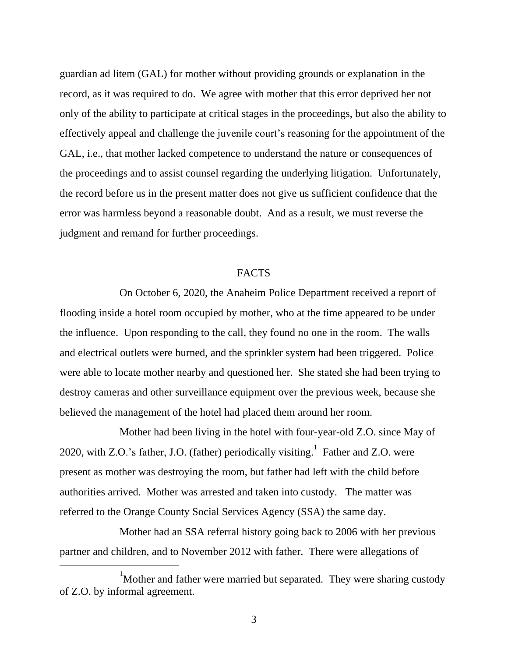guardian ad litem (GAL) for mother without providing grounds or explanation in the record, as it was required to do. We agree with mother that this error deprived her not only of the ability to participate at critical stages in the proceedings, but also the ability to effectively appeal and challenge the juvenile court's reasoning for the appointment of the GAL, i.e., that mother lacked competence to understand the nature or consequences of the proceedings and to assist counsel regarding the underlying litigation. Unfortunately, the record before us in the present matter does not give us sufficient confidence that the error was harmless beyond a reasonable doubt. And as a result, we must reverse the judgment and remand for further proceedings.

#### **FACTS**

On October 6, 2020, the Anaheim Police Department received a report of flooding inside a hotel room occupied by mother, who at the time appeared to be under the influence. Upon responding to the call, they found no one in the room. The walls and electrical outlets were burned, and the sprinkler system had been triggered. Police were able to locate mother nearby and questioned her. She stated she had been trying to destroy cameras and other surveillance equipment over the previous week, because she believed the management of the hotel had placed them around her room.

Mother had been living in the hotel with four-year-old Z.O. since May of 2020, with Z.O.'s father, J.O. (father) periodically visiting.<sup>1</sup> Father and Z.O. were present as mother was destroying the room, but father had left with the child before authorities arrived. Mother was arrested and taken into custody. The matter was referred to the Orange County Social Services Agency (SSA) the same day.

Mother had an SSA referral history going back to 2006 with her previous partner and children, and to November 2012 with father. There were allegations of

 $1$ Mother and father were married but separated. They were sharing custody of Z.O. by informal agreement.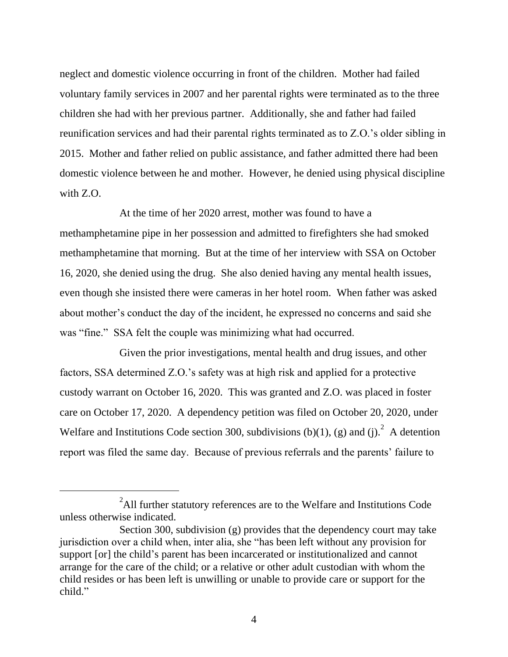neglect and domestic violence occurring in front of the children. Mother had failed voluntary family services in 2007 and her parental rights were terminated as to the three children she had with her previous partner. Additionally, she and father had failed reunification services and had their parental rights terminated as to Z.O.'s older sibling in 2015. Mother and father relied on public assistance, and father admitted there had been domestic violence between he and mother. However, he denied using physical discipline with Z.O.

At the time of her 2020 arrest, mother was found to have a methamphetamine pipe in her possession and admitted to firefighters she had smoked methamphetamine that morning. But at the time of her interview with SSA on October 16, 2020, she denied using the drug. She also denied having any mental health issues, even though she insisted there were cameras in her hotel room. When father was asked about mother's conduct the day of the incident, he expressed no concerns and said she was "fine." SSA felt the couple was minimizing what had occurred.

Given the prior investigations, mental health and drug issues, and other factors, SSA determined Z.O.'s safety was at high risk and applied for a protective custody warrant on October 16, 2020. This was granted and Z.O. was placed in foster care on October 17, 2020. A dependency petition was filed on October 20, 2020, under Welfare and Institutions Code section 300, subdivisions (b)(1), (g) and (j).  $^{2}$  A detention report was filed the same day. Because of previous referrals and the parents' failure to

 $2$ All further statutory references are to the Welfare and Institutions Code unless otherwise indicated.

Section 300, subdivision (g) provides that the dependency court may take jurisdiction over a child when, inter alia, she "has been left without any provision for support [or] the child's parent has been incarcerated or institutionalized and cannot arrange for the care of the child; or a relative or other adult custodian with whom the child resides or has been left is unwilling or unable to provide care or support for the child."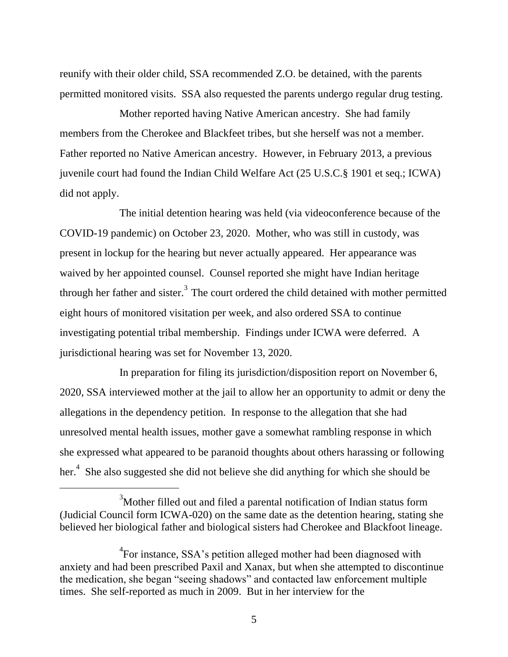reunify with their older child, SSA recommended Z.O. be detained, with the parents permitted monitored visits. SSA also requested the parents undergo regular drug testing.

Mother reported having Native American ancestry. She had family members from the Cherokee and Blackfeet tribes, but she herself was not a member. Father reported no Native American ancestry. However, in February 2013, a previous juvenile court had found the Indian Child Welfare Act (25 U.S.C.§ 1901 et seq.; ICWA) did not apply.

The initial detention hearing was held (via videoconference because of the COVID-19 pandemic) on October 23, 2020. Mother, who was still in custody, was present in lockup for the hearing but never actually appeared. Her appearance was waived by her appointed counsel. Counsel reported she might have Indian heritage through her father and sister.<sup>3</sup> The court ordered the child detained with mother permitted eight hours of monitored visitation per week, and also ordered SSA to continue investigating potential tribal membership. Findings under ICWA were deferred. A jurisdictional hearing was set for November 13, 2020.

In preparation for filing its jurisdiction/disposition report on November 6, 2020, SSA interviewed mother at the jail to allow her an opportunity to admit or deny the allegations in the dependency petition. In response to the allegation that she had unresolved mental health issues, mother gave a somewhat rambling response in which she expressed what appeared to be paranoid thoughts about others harassing or following her.<sup>4</sup> She also suggested she did not believe she did anything for which she should be

 $3$ Mother filled out and filed a parental notification of Indian status form (Judicial Council form ICWA-020) on the same date as the detention hearing, stating she believed her biological father and biological sisters had Cherokee and Blackfoot lineage.

 ${}^{4}$ For instance, SSA's petition alleged mother had been diagnosed with anxiety and had been prescribed Paxil and Xanax, but when she attempted to discontinue the medication, she began "seeing shadows" and contacted law enforcement multiple times. She self-reported as much in 2009. But in her interview for the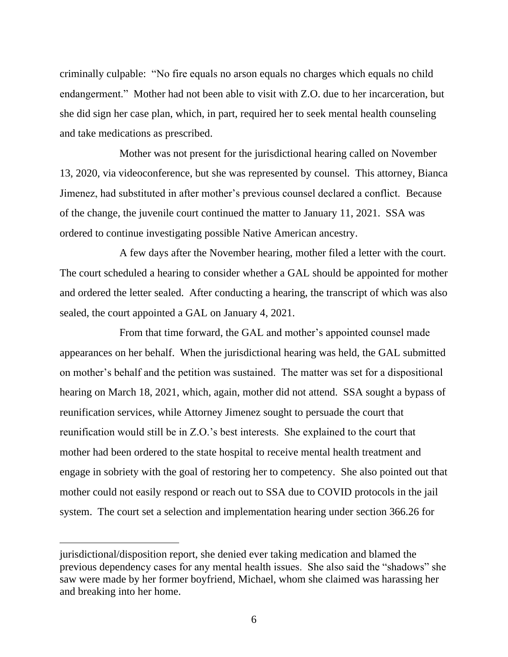criminally culpable: "No fire equals no arson equals no charges which equals no child endangerment." Mother had not been able to visit with Z.O. due to her incarceration, but she did sign her case plan, which, in part, required her to seek mental health counseling and take medications as prescribed.

Mother was not present for the jurisdictional hearing called on November 13, 2020, via videoconference, but she was represented by counsel. This attorney, Bianca Jimenez, had substituted in after mother's previous counsel declared a conflict. Because of the change, the juvenile court continued the matter to January 11, 2021. SSA was ordered to continue investigating possible Native American ancestry.

A few days after the November hearing, mother filed a letter with the court. The court scheduled a hearing to consider whether a GAL should be appointed for mother and ordered the letter sealed. After conducting a hearing, the transcript of which was also sealed, the court appointed a GAL on January 4, 2021.

From that time forward, the GAL and mother's appointed counsel made appearances on her behalf. When the jurisdictional hearing was held, the GAL submitted on mother's behalf and the petition was sustained. The matter was set for a dispositional hearing on March 18, 2021, which, again, mother did not attend. SSA sought a bypass of reunification services, while Attorney Jimenez sought to persuade the court that reunification would still be in Z.O.'s best interests. She explained to the court that mother had been ordered to the state hospital to receive mental health treatment and engage in sobriety with the goal of restoring her to competency. She also pointed out that mother could not easily respond or reach out to SSA due to COVID protocols in the jail system. The court set a selection and implementation hearing under section 366.26 for

jurisdictional/disposition report, she denied ever taking medication and blamed the previous dependency cases for any mental health issues. She also said the "shadows" she saw were made by her former boyfriend, Michael, whom she claimed was harassing her and breaking into her home.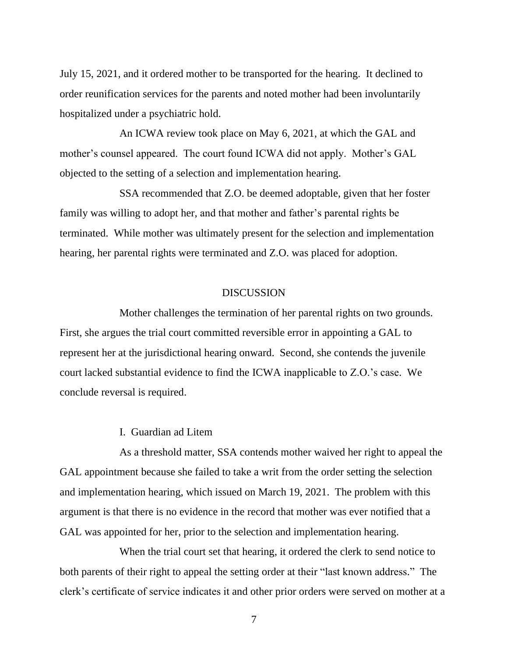July 15, 2021, and it ordered mother to be transported for the hearing. It declined to order reunification services for the parents and noted mother had been involuntarily hospitalized under a psychiatric hold.

An ICWA review took place on May 6, 2021, at which the GAL and mother's counsel appeared. The court found ICWA did not apply. Mother's GAL objected to the setting of a selection and implementation hearing.

SSA recommended that Z.O. be deemed adoptable, given that her foster family was willing to adopt her, and that mother and father's parental rights be terminated. While mother was ultimately present for the selection and implementation hearing, her parental rights were terminated and Z.O. was placed for adoption.

### DISCUSSION

Mother challenges the termination of her parental rights on two grounds. First, she argues the trial court committed reversible error in appointing a GAL to represent her at the jurisdictional hearing onward. Second, she contends the juvenile court lacked substantial evidence to find the ICWA inapplicable to Z.O.'s case. We conclude reversal is required.

#### I. Guardian ad Litem

As a threshold matter, SSA contends mother waived her right to appeal the GAL appointment because she failed to take a writ from the order setting the selection and implementation hearing, which issued on March 19, 2021. The problem with this argument is that there is no evidence in the record that mother was ever notified that a GAL was appointed for her, prior to the selection and implementation hearing.

When the trial court set that hearing, it ordered the clerk to send notice to both parents of their right to appeal the setting order at their "last known address." The clerk's certificate of service indicates it and other prior orders were served on mother at a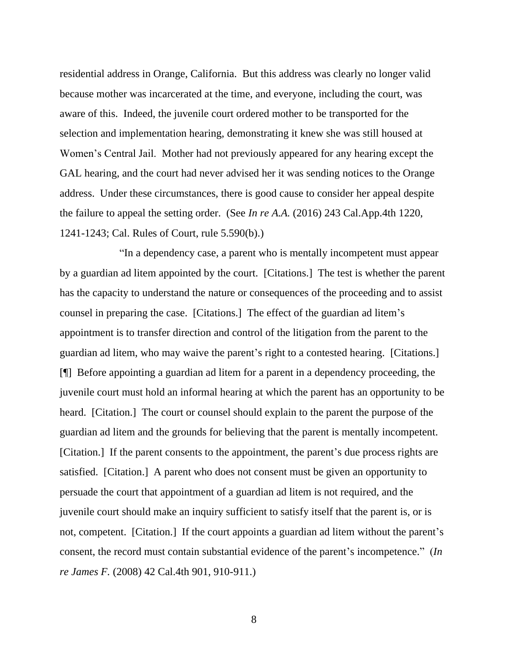residential address in Orange, California. But this address was clearly no longer valid because mother was incarcerated at the time, and everyone, including the court, was aware of this. Indeed, the juvenile court ordered mother to be transported for the selection and implementation hearing, demonstrating it knew she was still housed at Women's Central Jail. Mother had not previously appeared for any hearing except the GAL hearing, and the court had never advised her it was sending notices to the Orange address. Under these circumstances, there is good cause to consider her appeal despite the failure to appeal the setting order. (See *In re A.A.* (2016) 243 Cal.App.4th 1220, 1241-1243; Cal. Rules of Court, rule 5.590(b).)

"In a dependency case, a parent who is mentally incompetent must appear by a guardian ad litem appointed by the court. [Citations.] The test is whether the parent has the capacity to understand the nature or consequences of the proceeding and to assist counsel in preparing the case. [Citations.] The effect of the guardian ad litem's appointment is to transfer direction and control of the litigation from the parent to the guardian ad litem, who may waive the parent's right to a contested hearing. [Citations.] [¶] Before appointing a guardian ad litem for a parent in a dependency proceeding, the juvenile court must hold an informal hearing at which the parent has an opportunity to be heard. [Citation.] The court or counsel should explain to the parent the purpose of the guardian ad litem and the grounds for believing that the parent is mentally incompetent. [Citation.] If the parent consents to the appointment, the parent's due process rights are satisfied. [Citation.] A parent who does not consent must be given an opportunity to persuade the court that appointment of a guardian ad litem is not required, and the juvenile court should make an inquiry sufficient to satisfy itself that the parent is, or is not, competent. [Citation.] If the court appoints a guardian ad litem without the parent's consent, the record must contain substantial evidence of the parent's incompetence." (*In re James F.* (2008) 42 Cal.4th 901, 910-911.)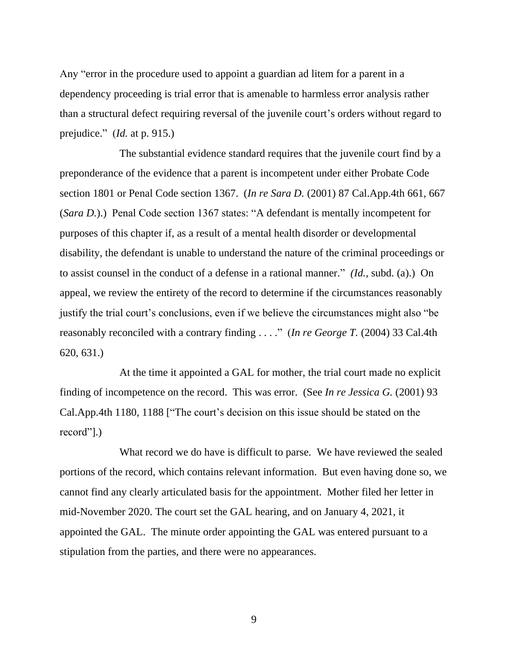Any "error in the procedure used to appoint a guardian ad litem for a parent in a dependency proceeding is trial error that is amenable to harmless error analysis rather than a structural defect requiring reversal of the juvenile court's orders without regard to prejudice." (*Id.* at p. 915.)

The substantial evidence standard requires that the juvenile court find by a preponderance of the evidence that a parent is incompetent under either Probate Code section 1801 or Penal Code section 1367. (*In re Sara D.* (2001) 87 Cal.App.4th 661, 667 (*Sara D.*).) Penal Code section 1367 states: "A defendant is mentally incompetent for purposes of this chapter if, as a result of a mental health disorder or developmental disability, the defendant is unable to understand the nature of the criminal proceedings or to assist counsel in the conduct of a defense in a rational manner." *(Id.,* subd. (a).) On appeal, we review the entirety of the record to determine if the circumstances reasonably justify the trial court's conclusions, even if we believe the circumstances might also "be reasonably reconciled with a contrary finding . . . ." (*In re George T.* (2004) 33 Cal.4th 620, 631.)

At the time it appointed a GAL for mother, the trial court made no explicit finding of incompetence on the record. This was error. (See *In re Jessica G.* (2001) 93 Cal.App.4th 1180, 1188 ["The court's decision on this issue should be stated on the record"].)

What record we do have is difficult to parse. We have reviewed the sealed portions of the record, which contains relevant information. But even having done so, we cannot find any clearly articulated basis for the appointment. Mother filed her letter in mid-November 2020. The court set the GAL hearing, and on January 4, 2021, it appointed the GAL. The minute order appointing the GAL was entered pursuant to a stipulation from the parties, and there were no appearances.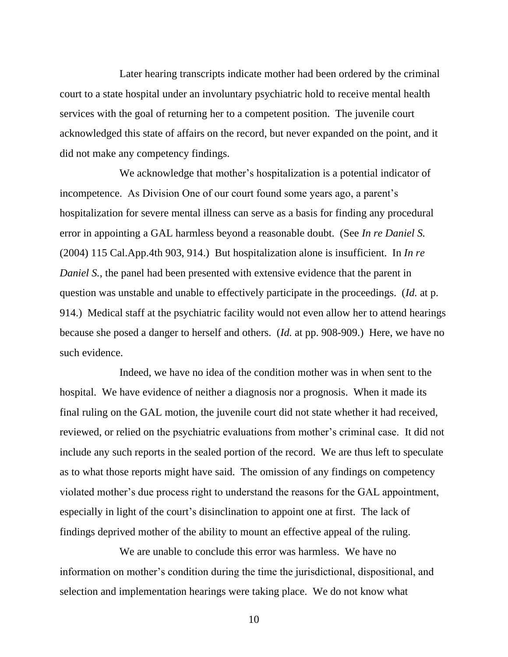Later hearing transcripts indicate mother had been ordered by the criminal court to a state hospital under an involuntary psychiatric hold to receive mental health services with the goal of returning her to a competent position. The juvenile court acknowledged this state of affairs on the record, but never expanded on the point, and it did not make any competency findings.

We acknowledge that mother's hospitalization is a potential indicator of incompetence. As Division One of our court found some years ago, a parent's hospitalization for severe mental illness can serve as a basis for finding any procedural error in appointing a GAL harmless beyond a reasonable doubt. (See *In re Daniel S.* (2004) 115 Cal.App.4th 903, 914.) But hospitalization alone is insufficient. In *In re Daniel S.*, the panel had been presented with extensive evidence that the parent in question was unstable and unable to effectively participate in the proceedings. (*Id.* at p. 914.) Medical staff at the psychiatric facility would not even allow her to attend hearings because she posed a danger to herself and others. (*Id.* at pp. 908-909.) Here, we have no such evidence.

Indeed, we have no idea of the condition mother was in when sent to the hospital. We have evidence of neither a diagnosis nor a prognosis. When it made its final ruling on the GAL motion, the juvenile court did not state whether it had received, reviewed, or relied on the psychiatric evaluations from mother's criminal case. It did not include any such reports in the sealed portion of the record. We are thus left to speculate as to what those reports might have said. The omission of any findings on competency violated mother's due process right to understand the reasons for the GAL appointment, especially in light of the court's disinclination to appoint one at first. The lack of findings deprived mother of the ability to mount an effective appeal of the ruling.

We are unable to conclude this error was harmless. We have no information on mother's condition during the time the jurisdictional, dispositional, and selection and implementation hearings were taking place. We do not know what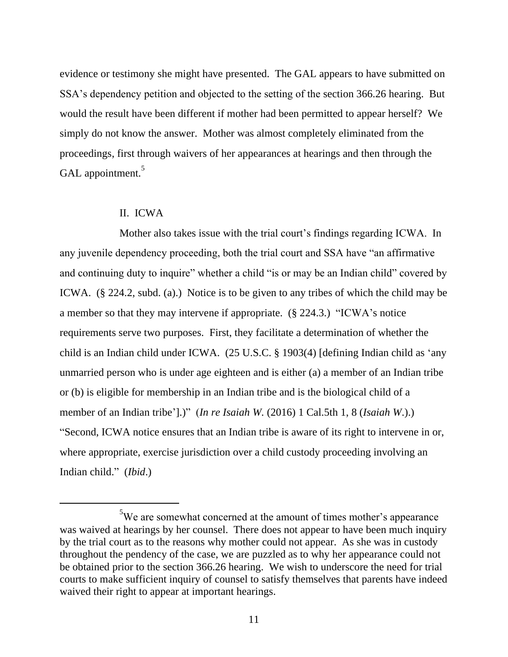evidence or testimony she might have presented. The GAL appears to have submitted on SSA's dependency petition and objected to the setting of the section 366.26 hearing. But would the result have been different if mother had been permitted to appear herself? We simply do not know the answer. Mother was almost completely eliminated from the proceedings, first through waivers of her appearances at hearings and then through the GAL appointment.<sup>5</sup>

#### II. ICWA

Mother also takes issue with the trial court's findings regarding ICWA. In any juvenile dependency proceeding, both the trial court and SSA have "an affirmative and continuing duty to inquire" whether a child "is or may be an Indian child" covered by ICWA. (§ 224.2, subd. (a).) Notice is to be given to any tribes of which the child may be a member so that they may intervene if appropriate. (§ 224.3.) "ICWA's notice requirements serve two purposes. First, they facilitate a determination of whether the child is an Indian child under ICWA. (25 U.S.C. § 1903(4) [defining Indian child as 'any unmarried person who is under age eighteen and is either (a) a member of an Indian tribe or (b) is eligible for membership in an Indian tribe and is the biological child of a member of an Indian tribe'].)" (*In re Isaiah W.* (2016) 1 Cal.5th 1, 8 (*Isaiah W*.).) "Second, ICWA notice ensures that an Indian tribe is aware of its right to intervene in or, where appropriate, exercise jurisdiction over a child custody proceeding involving an Indian child." (*Ibid*.)

 $5$ We are somewhat concerned at the amount of times mother's appearance was waived at hearings by her counsel. There does not appear to have been much inquiry by the trial court as to the reasons why mother could not appear. As she was in custody throughout the pendency of the case, we are puzzled as to why her appearance could not be obtained prior to the section 366.26 hearing. We wish to underscore the need for trial courts to make sufficient inquiry of counsel to satisfy themselves that parents have indeed waived their right to appear at important hearings.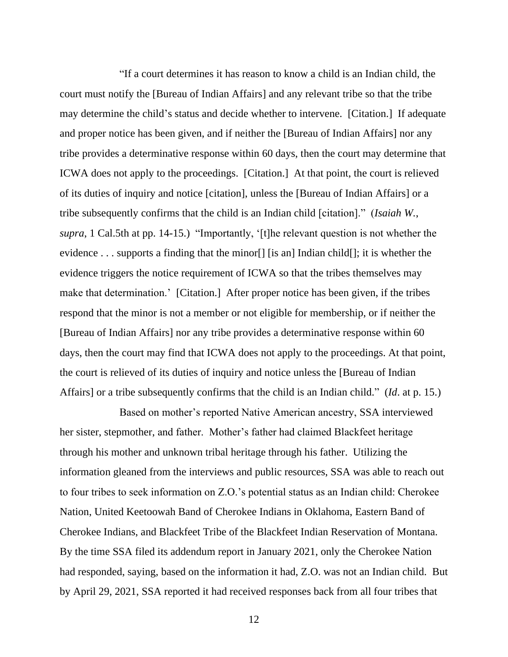"If a court determines it has reason to know a child is an Indian child, the court must notify the [Bureau of Indian Affairs] and any relevant tribe so that the tribe may determine the child's status and decide whether to intervene. [Citation.] If adequate and proper notice has been given, and if neither the [Bureau of Indian Affairs] nor any tribe provides a determinative response within 60 days, then the court may determine that ICWA does not apply to the proceedings. [Citation.] At that point, the court is relieved of its duties of inquiry and notice [citation], unless the [Bureau of Indian Affairs] or a tribe subsequently confirms that the child is an Indian child [citation]." (*Isaiah W.*, *supra*, 1 Cal.5th at pp. 14-15.) "Importantly, '[t]he relevant question is not whether the evidence  $\dots$  supports a finding that the minor [] [is an] Indian child []; it is whether the evidence triggers the notice requirement of ICWA so that the tribes themselves may make that determination.' [Citation.] After proper notice has been given, if the tribes respond that the minor is not a member or not eligible for membership, or if neither the [Bureau of Indian Affairs] nor any tribe provides a determinative response within 60 days, then the court may find that ICWA does not apply to the proceedings. At that point, the court is relieved of its duties of inquiry and notice unless the [Bureau of Indian Affairs] or a tribe subsequently confirms that the child is an Indian child." (*Id*. at p. 15.)

Based on mother's reported Native American ancestry, SSA interviewed her sister, stepmother, and father. Mother's father had claimed Blackfeet heritage through his mother and unknown tribal heritage through his father. Utilizing the information gleaned from the interviews and public resources, SSA was able to reach out to four tribes to seek information on Z.O.'s potential status as an Indian child: Cherokee Nation, United Keetoowah Band of Cherokee Indians in Oklahoma, Eastern Band of Cherokee Indians, and Blackfeet Tribe of the Blackfeet Indian Reservation of Montana. By the time SSA filed its addendum report in January 2021, only the Cherokee Nation had responded, saying, based on the information it had, Z.O. was not an Indian child. But by April 29, 2021, SSA reported it had received responses back from all four tribes that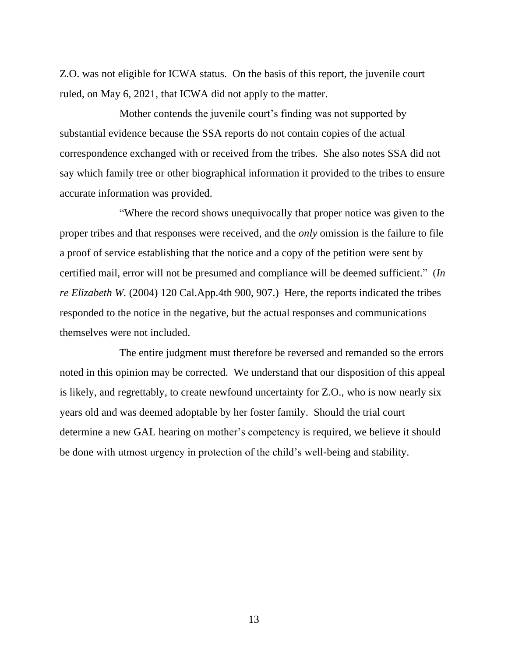Z.O. was not eligible for ICWA status. On the basis of this report, the juvenile court ruled, on May 6, 2021, that ICWA did not apply to the matter.

Mother contends the juvenile court's finding was not supported by substantial evidence because the SSA reports do not contain copies of the actual correspondence exchanged with or received from the tribes. She also notes SSA did not say which family tree or other biographical information it provided to the tribes to ensure accurate information was provided.

"Where the record shows unequivocally that proper notice was given to the proper tribes and that responses were received, and the *only* omission is the failure to file a proof of service establishing that the notice and a copy of the petition were sent by certified mail, error will not be presumed and compliance will be deemed sufficient." (*In re Elizabeth W.* (2004) 120 Cal.App.4th 900, 907.) Here, the reports indicated the tribes responded to the notice in the negative, but the actual responses and communications themselves were not included.

The entire judgment must therefore be reversed and remanded so the errors noted in this opinion may be corrected. We understand that our disposition of this appeal is likely, and regrettably, to create newfound uncertainty for Z.O., who is now nearly six years old and was deemed adoptable by her foster family. Should the trial court determine a new GAL hearing on mother's competency is required, we believe it should be done with utmost urgency in protection of the child's well-being and stability.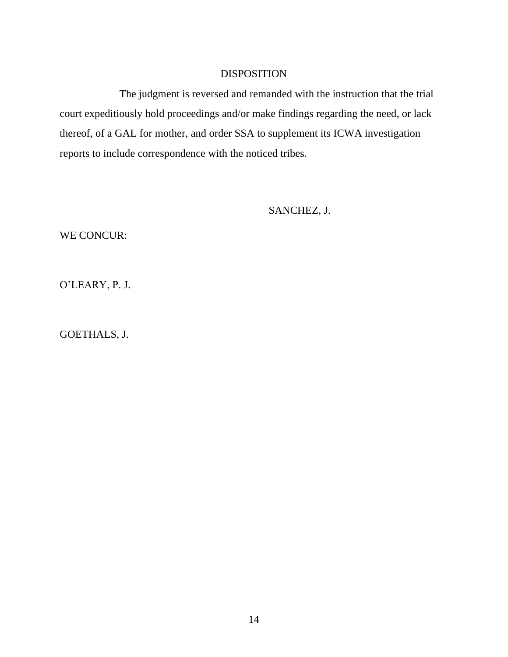### DISPOSITION

The judgment is reversed and remanded with the instruction that the trial court expeditiously hold proceedings and/or make findings regarding the need, or lack thereof, of a GAL for mother, and order SSA to supplement its ICWA investigation reports to include correspondence with the noticed tribes.

SANCHEZ, J.

WE CONCUR:

O'LEARY, P. J.

GOETHALS, J.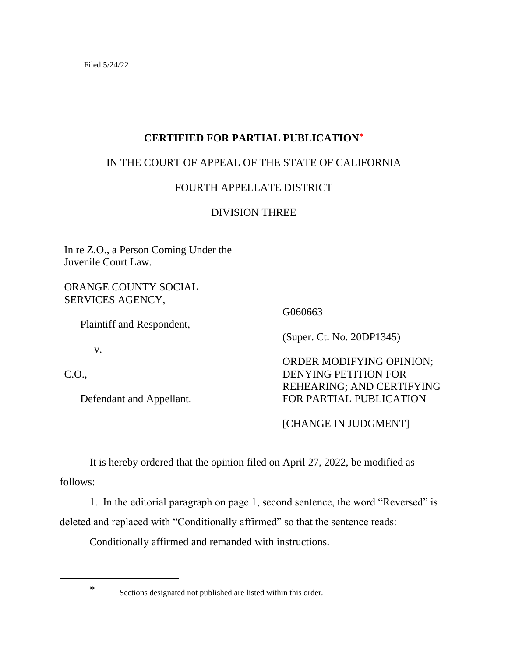## **CERTIFIED FOR PARTIAL PUBLICATION\***

# IN THE COURT OF APPEAL OF THE STATE OF CALIFORNIA

# FOURTH APPELLATE DISTRICT

# DIVISION THREE

In re Z.O., a Person Coming Under the Juvenile Court Law.

ORANGE COUNTY SOCIAL SERVICES AGENCY,

Plaintiff and Respondent,

v.

C.O.,

Defendant and Appellant.

G060663

(Super. Ct. No. 20DP1345)

 ORDER MODIFYING OPINION; DENYING PETITION FOR REHEARING; AND CERTIFYING FOR PARTIAL PUBLICATION

[CHANGE IN JUDGMENT]

It is hereby ordered that the opinion filed on April 27, 2022, be modified as follows:

1. In the editorial paragraph on page 1, second sentence, the word "Reversed" is deleted and replaced with "Conditionally affirmed" so that the sentence reads:

Conditionally affirmed and remanded with instructions.

<sup>\*</sup> Sections designated not published are listed within this order.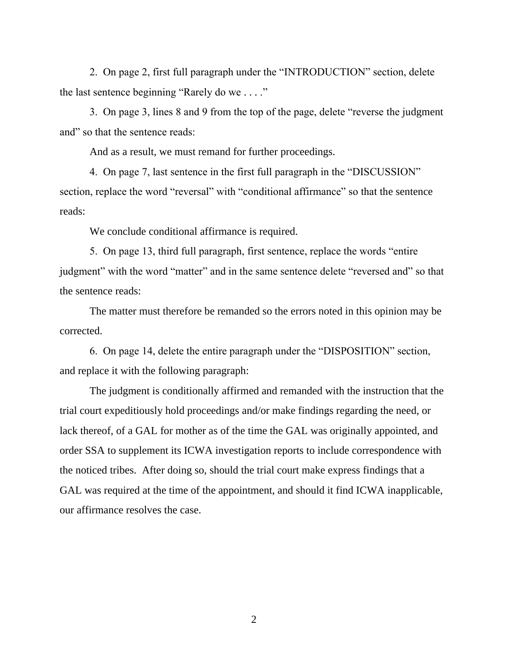2. On page 2, first full paragraph under the "INTRODUCTION" section, delete the last sentence beginning "Rarely do we . . . ."

3. On page 3, lines 8 and 9 from the top of the page, delete "reverse the judgment and" so that the sentence reads:

And as a result, we must remand for further proceedings.

4. On page 7, last sentence in the first full paragraph in the "DISCUSSION" section, replace the word "reversal" with "conditional affirmance" so that the sentence reads:

We conclude conditional affirmance is required.

5. On page 13, third full paragraph, first sentence, replace the words "entire judgment" with the word "matter" and in the same sentence delete "reversed and" so that the sentence reads:

The matter must therefore be remanded so the errors noted in this opinion may be corrected.

6. On page 14, delete the entire paragraph under the "DISPOSITION" section, and replace it with the following paragraph:

The judgment is conditionally affirmed and remanded with the instruction that the trial court expeditiously hold proceedings and/or make findings regarding the need, or lack thereof, of a GAL for mother as of the time the GAL was originally appointed, and order SSA to supplement its ICWA investigation reports to include correspondence with the noticed tribes. After doing so, should the trial court make express findings that a GAL was required at the time of the appointment, and should it find ICWA inapplicable, our affirmance resolves the case.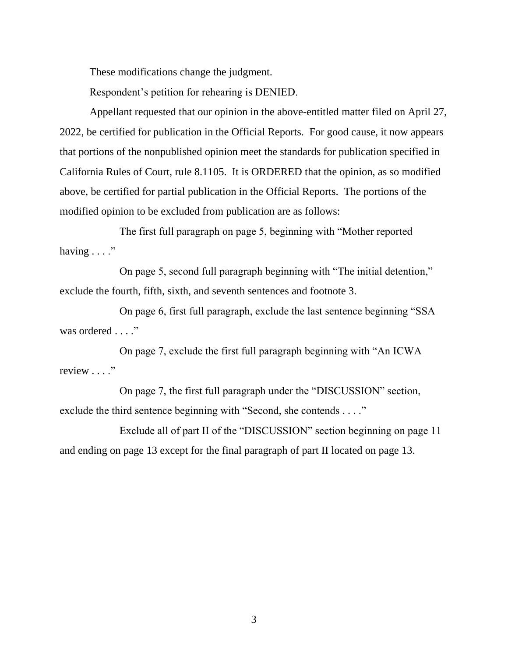These modifications change the judgment.

Respondent's petition for rehearing is DENIED.

Appellant requested that our opinion in the above-entitled matter filed on April 27, 2022, be certified for publication in the Official Reports. For good cause, it now appears that portions of the nonpublished opinion meet the standards for publication specified in California Rules of Court, rule 8.1105. It is ORDERED that the opinion, as so modified above, be certified for partial publication in the Official Reports. The portions of the modified opinion to be excluded from publication are as follows:

The first full paragraph on page 5, beginning with "Mother reported having  $\dots$ ."

On page 5, second full paragraph beginning with "The initial detention," exclude the fourth, fifth, sixth, and seventh sentences and footnote 3.

On page 6, first full paragraph, exclude the last sentence beginning "SSA was ordered . . . ."

On page 7, exclude the first full paragraph beginning with "An ICWA review . . . ."

On page 7, the first full paragraph under the "DISCUSSION" section, exclude the third sentence beginning with "Second, she contends . . . ."

Exclude all of part II of the "DISCUSSION" section beginning on page 11 and ending on page 13 except for the final paragraph of part II located on page 13.